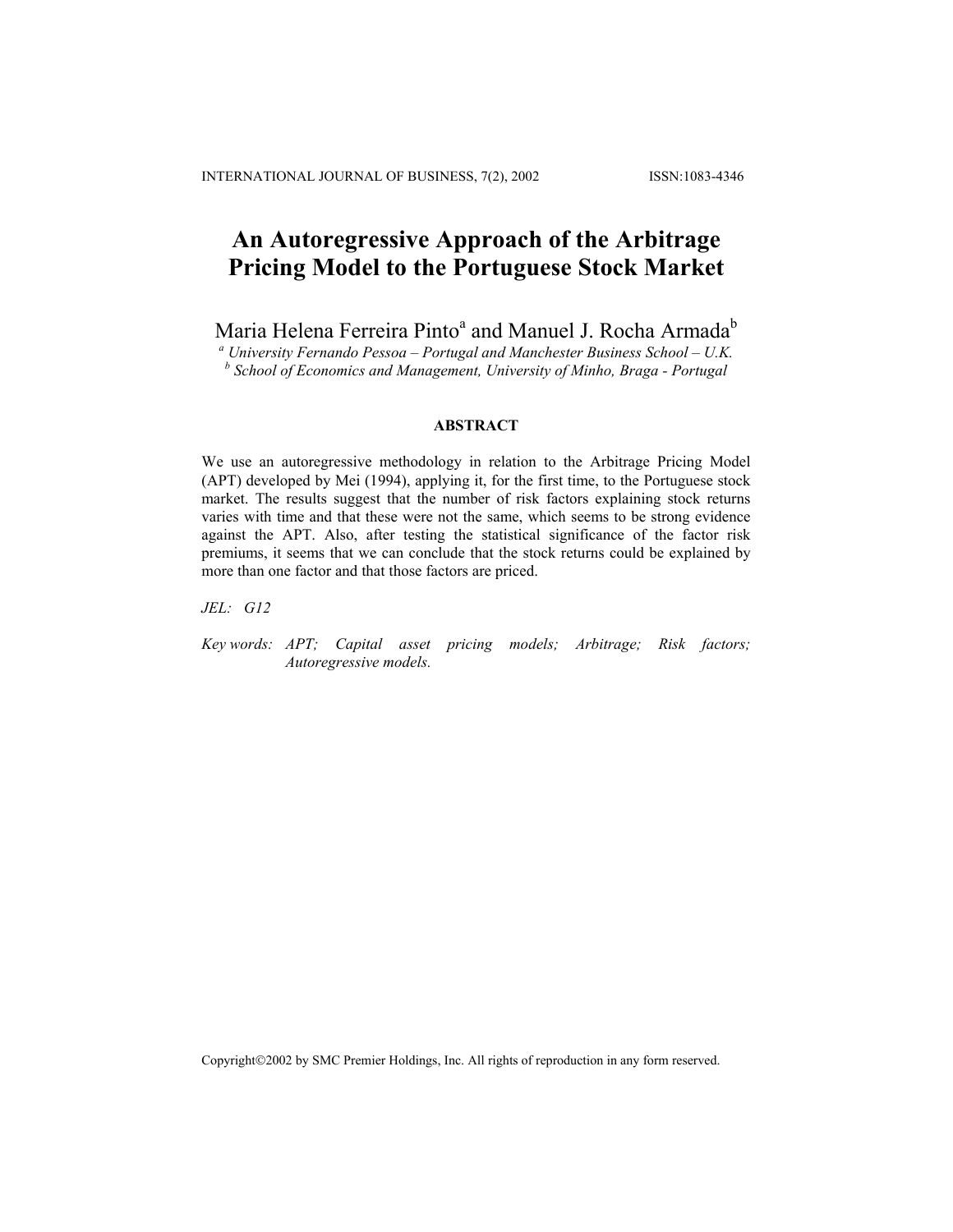# **An Autoregressive Approach of the Arbitrage Pricing Model to the Portuguese Stock Market**

Maria Helena Ferreira Pinto<sup>a</sup> and Manuel J. Rocha Armada<sup>b</sup>

*a University Fernando Pessoa – Portugal and Manchester Business School – U.K. b School of Economics and Management, University of Minho, Braga - Portugal* 

# **ABSTRACT**

We use an autoregressive methodology in relation to the Arbitrage Pricing Model (APT) developed by Mei (1994), applying it, for the first time, to the Portuguese stock market. The results suggest that the number of risk factors explaining stock returns varies with time and that these were not the same, which seems to be strong evidence against the APT. Also, after testing the statistical significance of the factor risk premiums, it seems that we can conclude that the stock returns could be explained by more than one factor and that those factors are priced.

*JEL: G12* 

*Key words: APT; Capital asset pricing models; Arbitrage; Risk factors; Autoregressive models.* 

Copyright©2002 by SMC Premier Holdings, Inc. All rights of reproduction in any form reserved.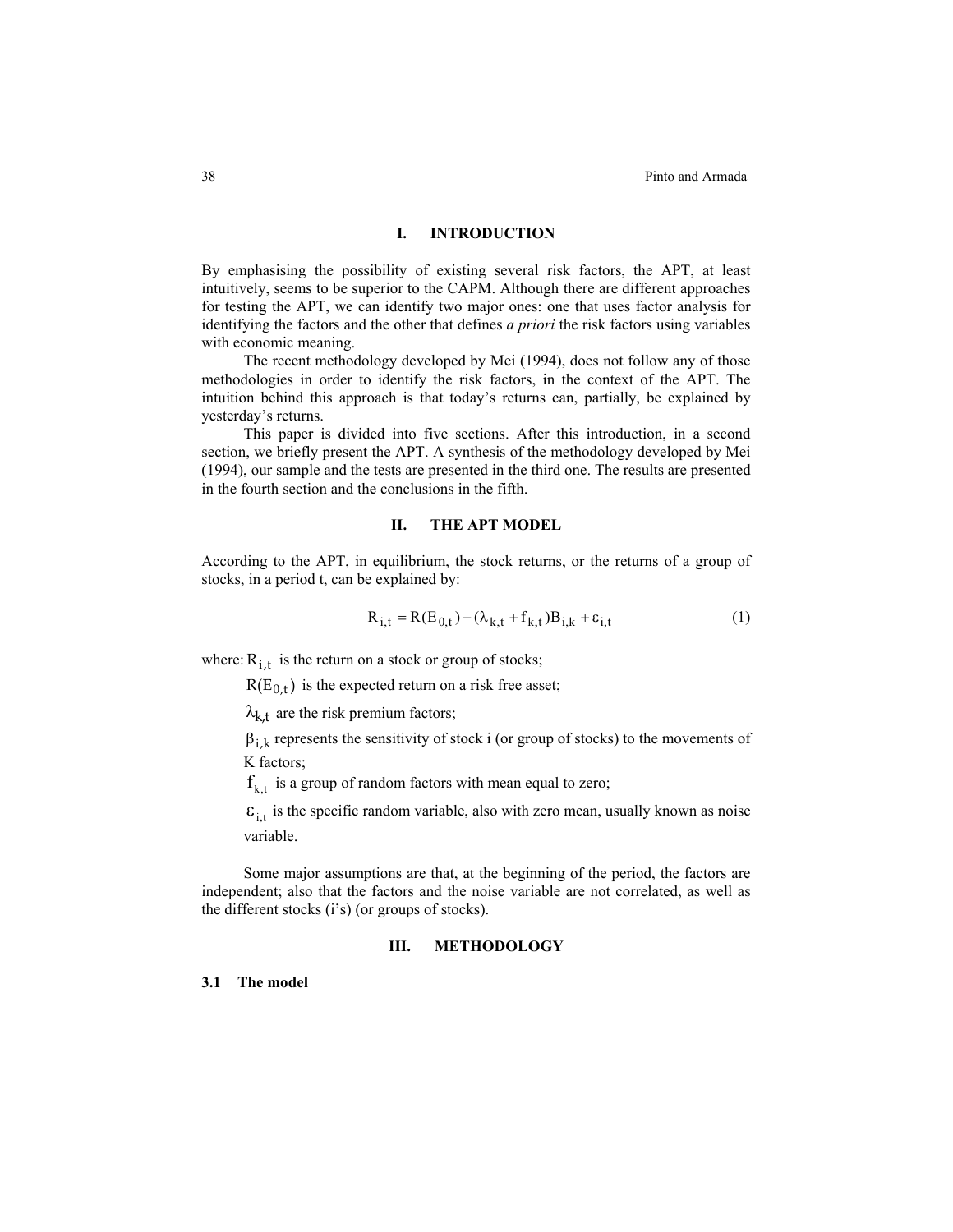#### **I. INTRODUCTION**

By emphasising the possibility of existing several risk factors, the APT, at least intuitively, seems to be superior to the CAPM. Although there are different approaches for testing the APT, we can identify two major ones: one that uses factor analysis for identifying the factors and the other that defines *a priori* the risk factors using variables with economic meaning.

The recent methodology developed by Mei (1994), does not follow any of those methodologies in order to identify the risk factors, in the context of the APT. The intuition behind this approach is that today's returns can, partially, be explained by yesterday's returns.

This paper is divided into five sections. After this introduction, in a second section, we briefly present the APT. A synthesis of the methodology developed by Mei (1994), our sample and the tests are presented in the third one. The results are presented in the fourth section and the conclusions in the fifth.

#### **II. THE APT MODEL**

According to the APT, in equilibrium, the stock returns, or the returns of a group of stocks, in a period t, can be explained by:

$$
R_{i,t} = R(E_{0,t}) + (\lambda_{k,t} + f_{k,t})B_{i,k} + \varepsilon_{i,t}
$$
 (1)

where:  $R_{i,t}$  is the return on a stock or group of stocks;

 $R(E_{0,t})$  is the expected return on a risk free asset;

 $\lambda_{k,t}$  are the risk premium factors;

 $\beta_{i,k}$  represents the sensitivity of stock i (or group of stocks) to the movements of K factors;

 $f_{k,t}$  is a group of random factors with mean equal to zero;

 $\varepsilon_{i,t}$  is the specific random variable, also with zero mean, usually known as noise variable.

Some major assumptions are that, at the beginning of the period, the factors are independent; also that the factors and the noise variable are not correlated, as well as the different stocks (i's) (or groups of stocks).

# **III. METHODOLOGY**

# **3.1 The model**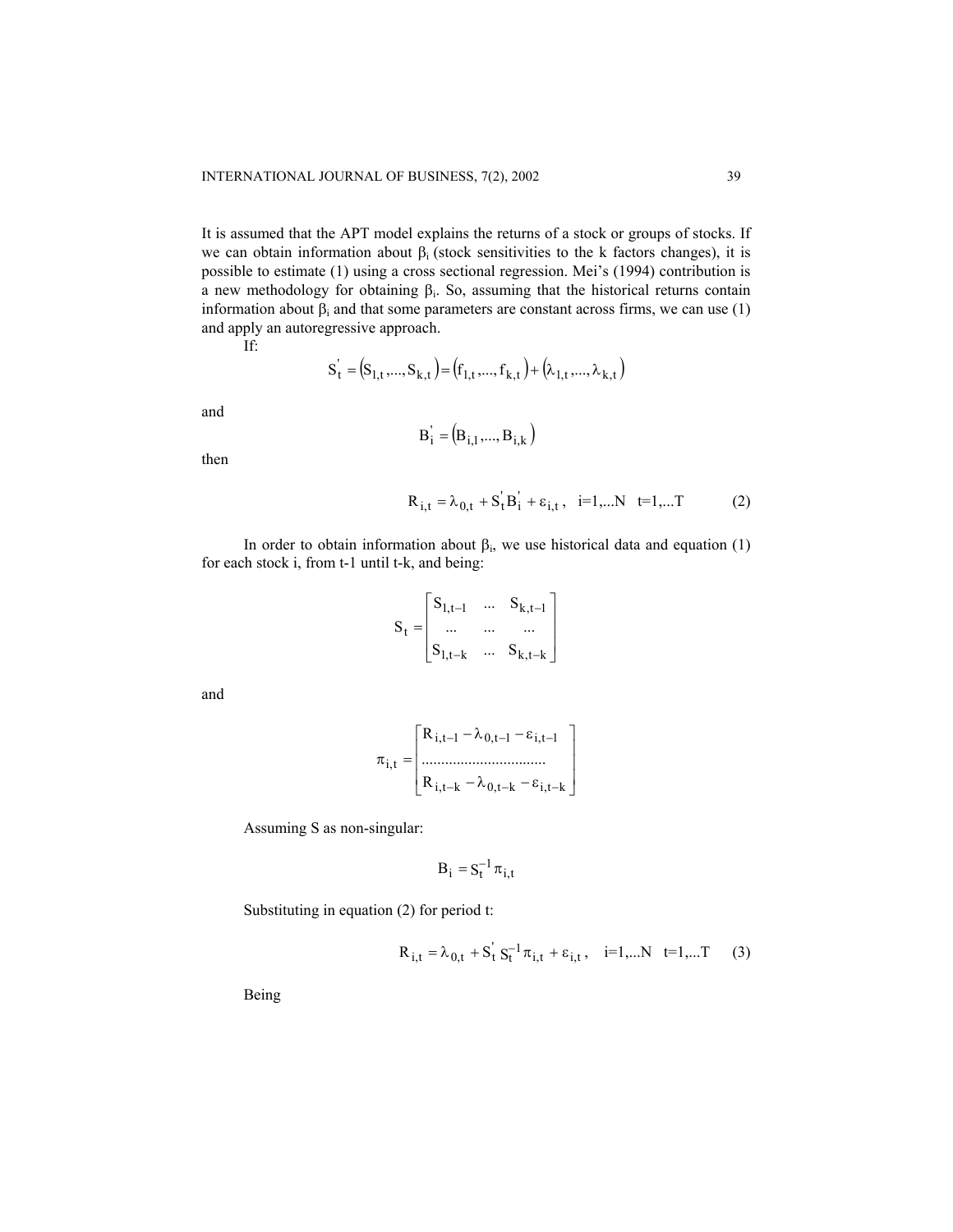It is assumed that the APT model explains the returns of a stock or groups of stocks. If we can obtain information about  $\beta_i$  (stock sensitivities to the k factors changes), it is possible to estimate (1) using a cross sectional regression. Mei's (1994) contribution is a new methodology for obtaining  $β<sub>i</sub>$ . So, assuming that the historical returns contain information about  $\beta_i$  and that some parameters are constant across firms, we can use (1) and apply an autoregressive approach.

If:

$$
S_t^{\prime} = (S_{1,t},...,S_{k,t}) = (f_{1,t},...,f_{k,t}) + (\lambda_{1,t},...,\lambda_{k,t})
$$

and

$$
B'_i = (B_{i,1},..., B_{i,k})
$$

then

$$
R_{i,t} = \lambda_{0,t} + S_t B_i + \varepsilon_{i,t}, \quad i=1,...N \quad t=1,...T \tag{2}
$$

In order to obtain information about  $\beta_i$ , we use historical data and equation (1) for each stock i, from t-1 until t-k, and being:

$$
S_{t} = \begin{bmatrix} S_{1,t-1} & \dots & S_{k,t-1} \\ \dots & \dots & \dots \\ S_{1,t-k} & \dots & S_{k,t-k} \end{bmatrix}
$$

and

$$
\pi_{i,t} = \begin{bmatrix} R_{i,t-1} - \lambda_{0,t-1} - \varepsilon_{i,t-1} \\ \dots \\ R_{i,t-k} - \lambda_{0,t-k} - \varepsilon_{i,t-k} \end{bmatrix}
$$

Assuming S as non-singular:

$$
B_i = S_t^{-1} \pi_{i,t}
$$

Substituting in equation (2) for period t:

$$
R_{i,t} = \lambda_{0,t} + S_t^{\dagger} S_t^{-1} \pi_{i,t} + \varepsilon_{i,t}, \quad i=1,...N \quad t=1,...T \tag{3}
$$

Being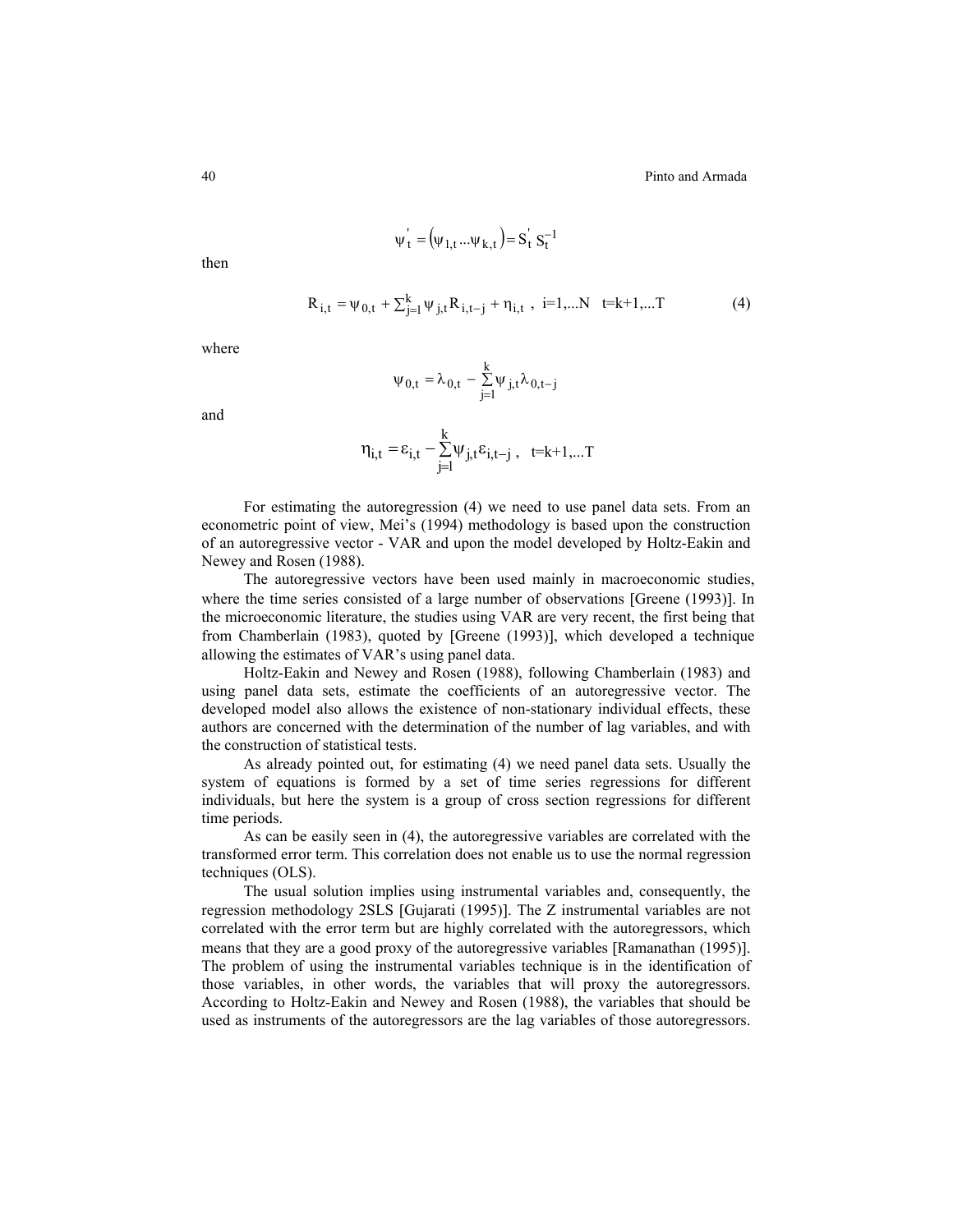$\psi'_t = (\psi_{1,t} ... \psi_{k,t}) = S_t^{\dagger} S_t^{-1}$ 

then

$$
R_{i,t} = \psi_{0,t} + \sum_{j=1}^{k} \psi_{j,t} R_{i,t-j} + \eta_{i,t} , i=1,...N \quad t=k+1,...T
$$
 (4)

where

$$
\psi_{0,t} = \lambda_{0,t} - \sum_{j=1}^k \psi_{j,t} \lambda_{0,t-j}
$$

and

$$
\eta_{i,t} = \epsilon_{i,t} - \sum_{j=1}^k \psi_{j,t} \epsilon_{i,t-j} , \ \ \text{t=k+1,...T}
$$

For estimating the autoregression (4) we need to use panel data sets. From an econometric point of view, Mei's (1994) methodology is based upon the construction of an autoregressive vector - VAR and upon the model developed by Holtz-Eakin and Newey and Rosen (1988).

The autoregressive vectors have been used mainly in macroeconomic studies, where the time series consisted of a large number of observations [Greene (1993)]. In the microeconomic literature, the studies using VAR are very recent, the first being that from Chamberlain (1983), quoted by [Greene (1993)], which developed a technique allowing the estimates of VAR's using panel data.

Holtz-Eakin and Newey and Rosen (1988), following Chamberlain (1983) and using panel data sets, estimate the coefficients of an autoregressive vector. The developed model also allows the existence of non-stationary individual effects, these authors are concerned with the determination of the number of lag variables, and with the construction of statistical tests.

As already pointed out, for estimating (4) we need panel data sets. Usually the system of equations is formed by a set of time series regressions for different individuals, but here the system is a group of cross section regressions for different time periods.

As can be easily seen in (4), the autoregressive variables are correlated with the transformed error term. This correlation does not enable us to use the normal regression techniques (OLS).

The usual solution implies using instrumental variables and, consequently, the regression methodology 2SLS [Gujarati (1995)]. The Z instrumental variables are not correlated with the error term but are highly correlated with the autoregressors, which means that they are a good proxy of the autoregressive variables [Ramanathan (1995)]. The problem of using the instrumental variables technique is in the identification of those variables, in other words, the variables that will proxy the autoregressors. According to Holtz-Eakin and Newey and Rosen (1988), the variables that should be used as instruments of the autoregressors are the lag variables of those autoregressors.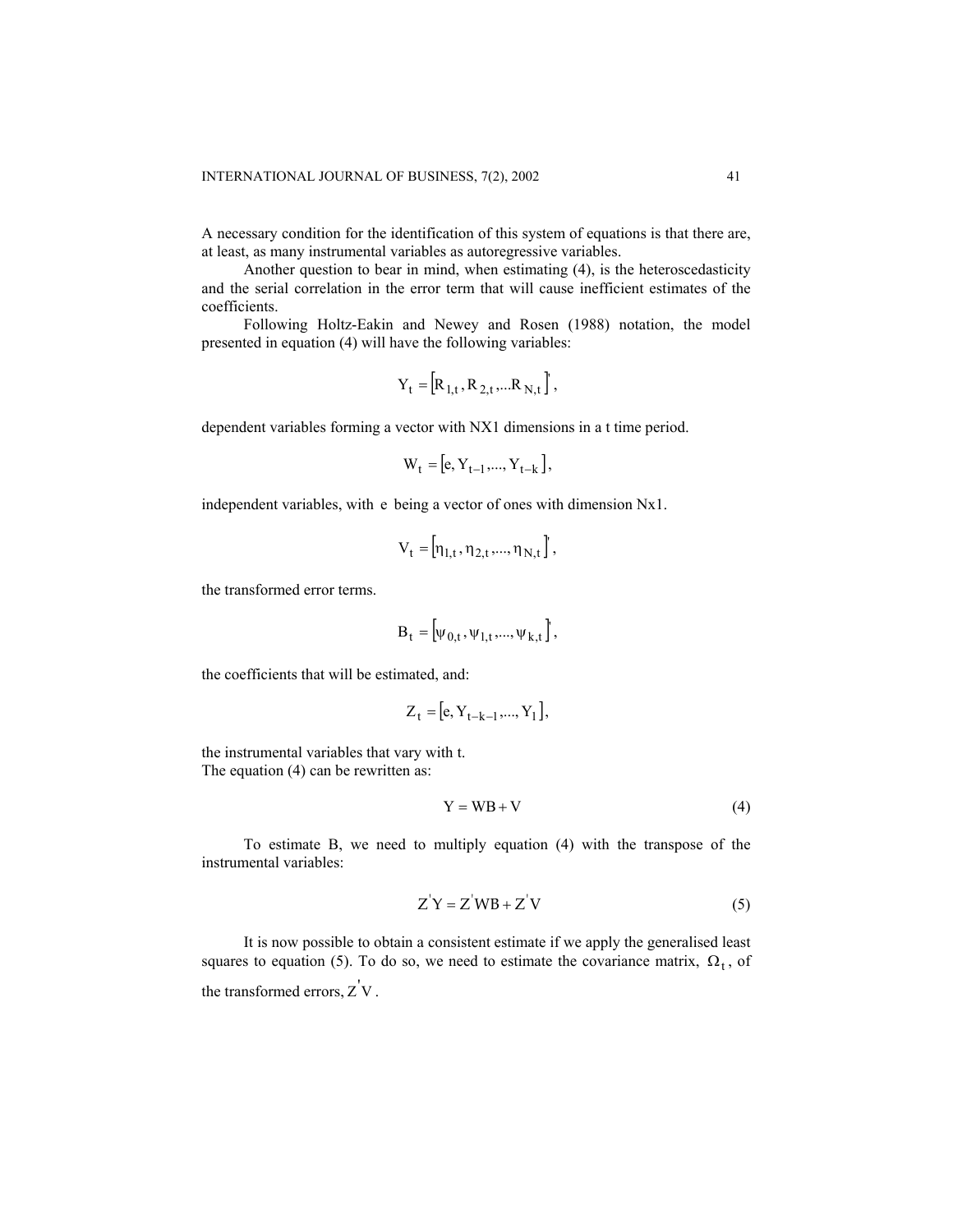A necessary condition for the identification of this system of equations is that there are, at least, as many instrumental variables as autoregressive variables.

Another question to bear in mind, when estimating (4), is the heteroscedasticity and the serial correlation in the error term that will cause inefficient estimates of the coefficients.

Following Holtz-Eakin and Newey and Rosen (1988) notation, the model presented in equation (4) will have the following variables:

$$
Y_t = [R_{1,t}, R_{2,t},...R_{N,t}],
$$

dependent variables forming a vector with NX1 dimensions in a t time period.

$$
W_t = [e, Y_{t-1}, \dots, Y_{t-k}],
$$

independent variables, with e being a vector of ones with dimension Nx1.

$$
V_t = [\eta_{1,t}, \eta_{2,t}, ..., \eta_{N,t}],
$$

the transformed error terms.

$$
B_t = [\psi_{0,t}, \psi_{1,t}, ..., \psi_{k,t}],
$$

the coefficients that will be estimated, and:

$$
Z_t = [e, Y_{t-k-1}, ..., Y_1],
$$

the instrumental variables that vary with t. The equation (4) can be rewritten as:

$$
Y = WB + V \tag{4}
$$

To estimate B, we need to multiply equation (4) with the transpose of the instrumental variables:

$$
Z'Y = Z'WB + Z'V
$$
 (5)

It is now possible to obtain a consistent estimate if we apply the generalised least squares to equation (5). To do so, we need to estimate the covariance matrix,  $\Omega_t$ , of the transformed errors,  $Z'V$ .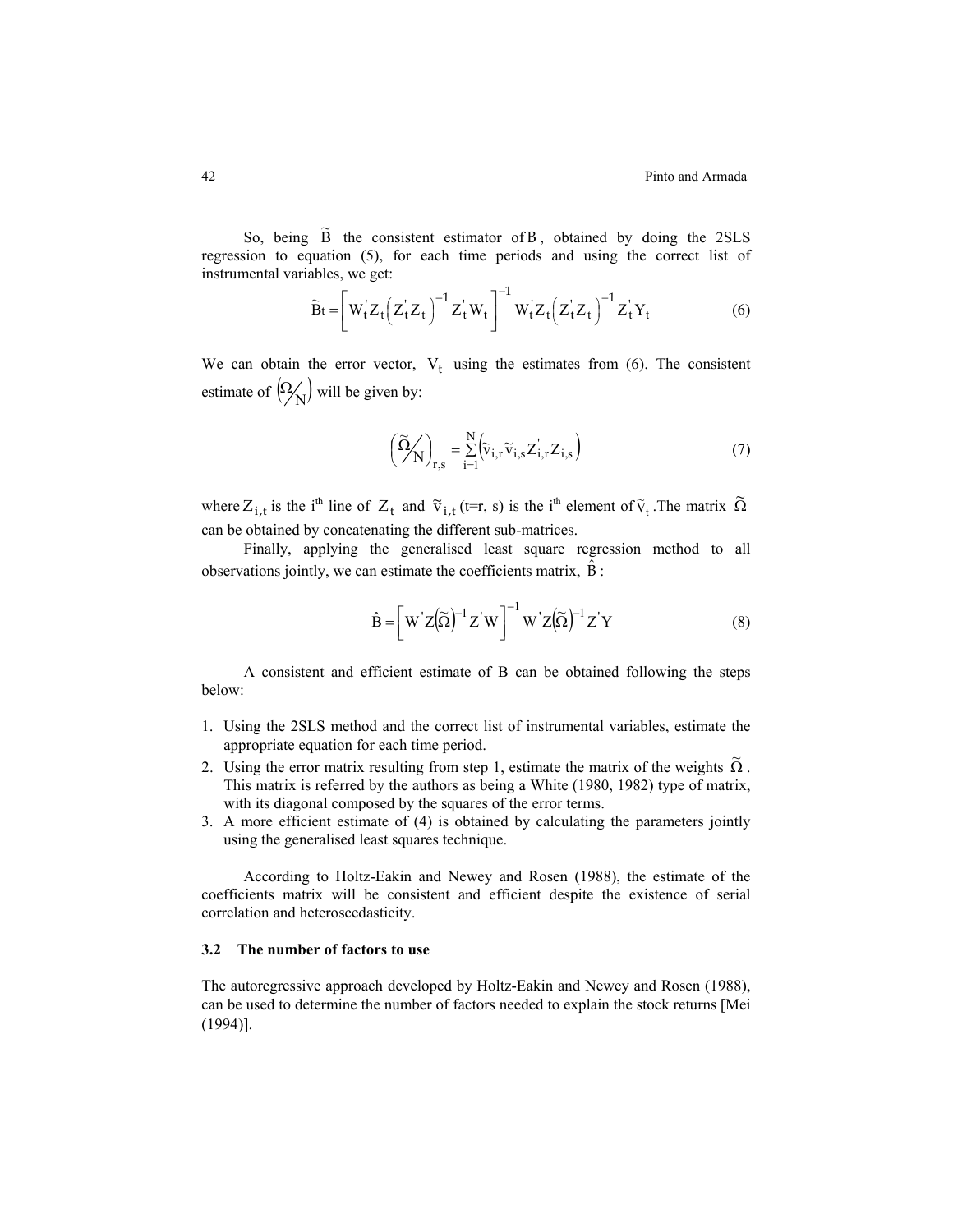So, being  $\tilde{B}$  the consistent estimator of B, obtained by doing the 2SLS regression to equation (5), for each time periods and using the correct list of instrumental variables, we get:

$$
\widetilde{\mathbf{B}}t = \left[ \mathbf{W}_t^{\dagger} \mathbf{Z}_t \left( \mathbf{Z}_t^{\dagger} \mathbf{Z}_t \right)^{-1} \mathbf{Z}_t^{\dagger} \mathbf{W}_t \right]^{-1} \mathbf{W}_t^{\dagger} \mathbf{Z}_t \left( \mathbf{Z}_t^{\dagger} \mathbf{Z}_t \right)^{-1} \mathbf{Z}_t^{\dagger} \mathbf{Y}_t \tag{6}
$$

We can obtain the error vector,  $V_t$  using the estimates from (6). The consistent estimate of  $\left(\frac{\Omega}{N}\right)$  will be given by:

$$
\left(\widetilde{\Omega}_{N}\right)_{r,s} = \sum_{i=1}^{N} \left(\widetilde{v}_{i,r}\widetilde{v}_{i,s}Z_{i,r}Z_{i,s}\right)
$$
\n(7)

where  $Z_{i,t}$  is the i<sup>th</sup> line of  $Z_t$  and  $\tilde{v}_{i,t}$  (t=r, s) is the i<sup>th</sup> element of  $\tilde{v}_t$ . The matrix  $\tilde{\Omega}$ can be obtained by concatenating the different sub-matrices.

Finally, applying the generalised least square regression method to all observations jointly, we can estimate the coefficients matrix,  $\overline{B}$ :

$$
\hat{\mathbf{B}} = \left[ \mathbf{W}^{\dagger} \mathbf{Z} (\widetilde{\Omega})^{-1} \mathbf{Z}^{\dagger} \mathbf{W} \right]^{-1} \mathbf{W}^{\dagger} \mathbf{Z} (\widetilde{\Omega})^{-1} \mathbf{Z}^{\dagger} \mathbf{Y}
$$
 (8)

A consistent and efficient estimate of B can be obtained following the steps below:

- 1. Using the 2SLS method and the correct list of instrumental variables, estimate the appropriate equation for each time period.
- 2. Using the error matrix resulting from step 1, estimate the matrix of the weights  $\tilde{\Omega}$ . This matrix is referred by the authors as being a White (1980, 1982) type of matrix, with its diagonal composed by the squares of the error terms.
- 3. A more efficient estimate of (4) is obtained by calculating the parameters jointly using the generalised least squares technique.

According to Holtz-Eakin and Newey and Rosen (1988), the estimate of the coefficients matrix will be consistent and efficient despite the existence of serial correlation and heteroscedasticity.

# **3.2 The number of factors to use**

The autoregressive approach developed by Holtz-Eakin and Newey and Rosen (1988), can be used to determine the number of factors needed to explain the stock returns [Mei (1994)].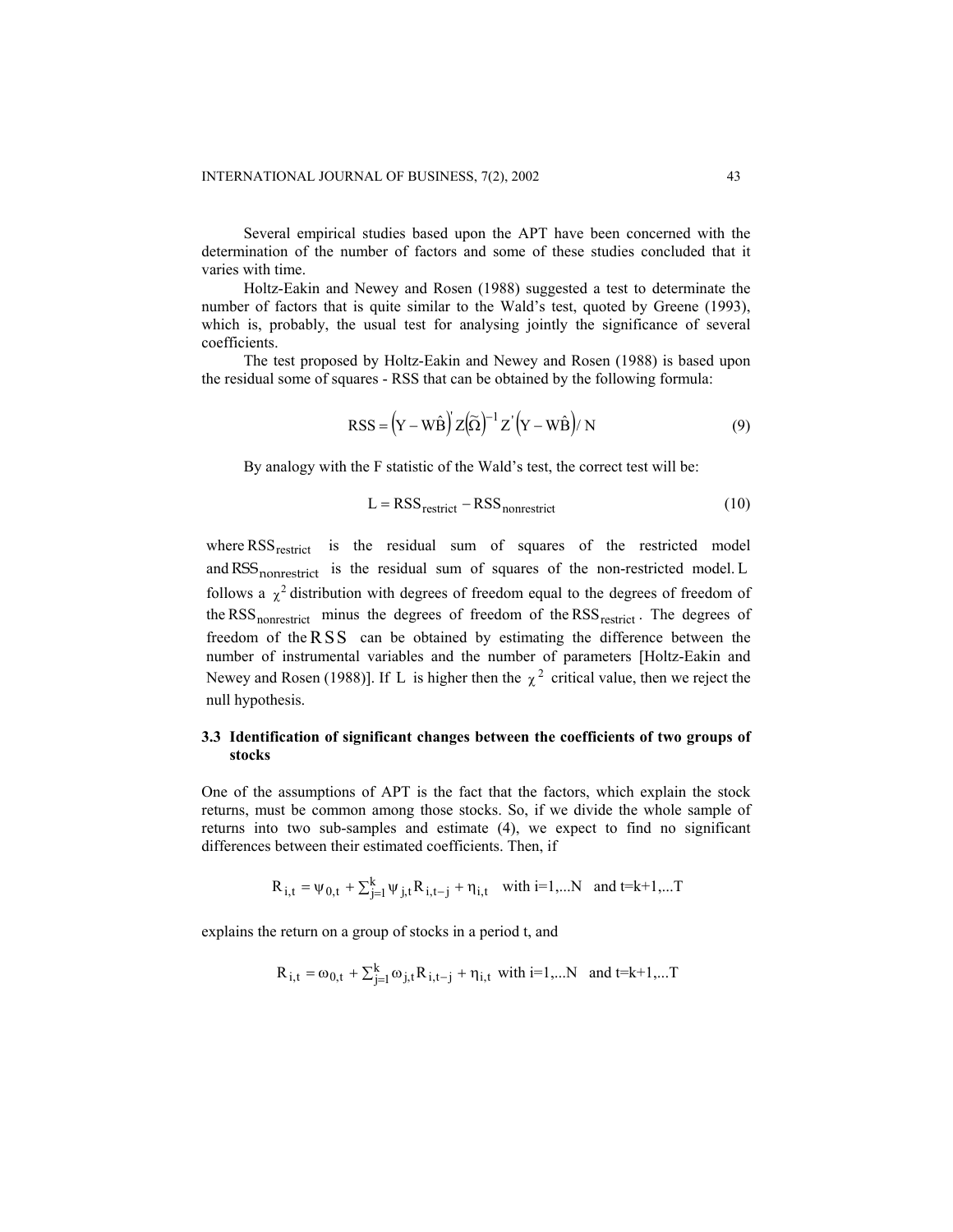Several empirical studies based upon the APT have been concerned with the determination of the number of factors and some of these studies concluded that it varies with time.

Holtz-Eakin and Newey and Rosen (1988) suggested a test to determinate the number of factors that is quite similar to the Wald's test, quoted by Greene (1993), which is, probably, the usual test for analysing jointly the significance of several coefficients.

The test proposed by Holtz-Eakin and Newey and Rosen (1988) is based upon the residual some of squares - RSS that can be obtained by the following formula:

$$
RSS = (Y - W\hat{B})'Z(\tilde{\Omega})^{-1}Z'(Y - W\hat{B})/N
$$
\n(9)

By analogy with the F statistic of the Wald's test, the correct test will be:

$$
L = RSS_{\text{restrict}} - RSS_{\text{nonrestrict}} \tag{10}
$$

where RSS<sub>restrict</sub> is the residual sum of squares of the restricted model and RSS<sub>nonrestrict</sub> is the residual sum of squares of the non-restricted model. L follows a  $\chi^2$  distribution with degrees of freedom equal to the degrees of freedom of the RSS<sub>nonrestrict</sub> minus the degrees of freedom of the RSS<sub>restrict</sub>. The degrees of freedom of the  $RSS$  can be obtained by estimating the difference between the number of instrumental variables and the number of parameters [Holtz-Eakin and Newey and Rosen (1988)]. If L is higher then the  $\chi^2$  critical value, then we reject the null hypothesis.

# **3.3 Identification of significant changes between the coefficients of two groups of stocks**

One of the assumptions of APT is the fact that the factors, which explain the stock returns, must be common among those stocks. So, if we divide the whole sample of returns into two sub-samples and estimate (4), we expect to find no significant differences between their estimated coefficients. Then, if

$$
R_{i,t} = \psi_{0,t} + \sum_{j=1}^{k} \psi_{j,t} R_{i,t-j} + \eta_{i,t} \quad \text{with } i=1,...N \text{ and } t=k+1,...T
$$

explains the return on a group of stocks in a period t, and

$$
R_{i,t} = \omega_{0,t} + \sum_{j=1}^{k} \omega_{j,t} R_{i,t-j} + \eta_{i,t} \text{ with } i=1,...N \text{ and } t=k+1,...T
$$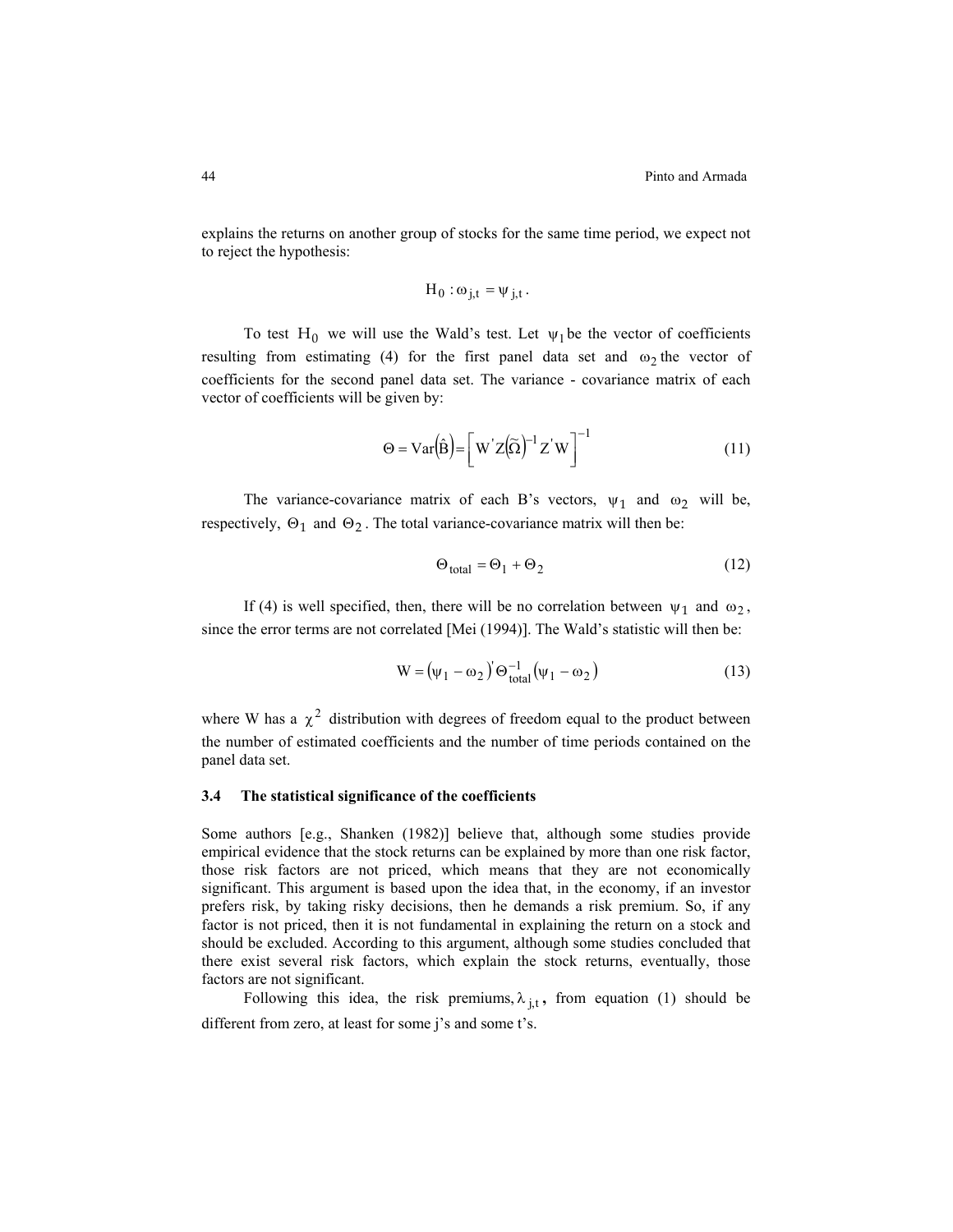explains the returns on another group of stocks for the same time period, we expect not to reject the hypothesis:

$$
H_0: \omega_{j,t} = \psi_{j,t}.
$$

To test H<sub>0</sub> we will use the Wald's test. Let  $\psi_1$  be the vector of coefficients resulting from estimating (4) for the first panel data set and  $\omega_2$  the vector of coefficients for the second panel data set. The variance - covariance matrix of each vector of coefficients will be given by:

$$
\Theta = \text{Var}(\hat{\mathbf{B}}) = \left[ \mathbf{W}^{\dagger} \mathbf{Z} (\widetilde{\Omega})^{-1} \mathbf{Z}^{\dagger} \mathbf{W} \right]^{-1} \tag{11}
$$

The variance-covariance matrix of each B's vectors,  $\psi_1$  and  $\omega_2$  will be, respectively,  $\Theta_1$  and  $\Theta_2$ . The total variance-covariance matrix will then be:

$$
\Theta_{\text{total}} = \Theta_1 + \Theta_2 \tag{12}
$$

If (4) is well specified, then, there will be no correlation between  $\psi_1$  and  $\omega_2$ , since the error terms are not correlated [Mei (1994)]. The Wald's statistic will then be:

$$
W = (\psi_1 - \omega_2)^{\prime} \Theta_{total}^{-1} (\psi_1 - \omega_2)
$$
 (13)

where W has a  $\chi^2$  distribution with degrees of freedom equal to the product between the number of estimated coefficients and the number of time periods contained on the panel data set.

## **3.4 The statistical significance of the coefficients**

Some authors [e.g., Shanken (1982)] believe that, although some studies provide empirical evidence that the stock returns can be explained by more than one risk factor, those risk factors are not priced, which means that they are not economically significant. This argument is based upon the idea that, in the economy, if an investor prefers risk, by taking risky decisions, then he demands a risk premium. So, if any factor is not priced, then it is not fundamental in explaining the return on a stock and should be excluded. According to this argument, although some studies concluded that there exist several risk factors, which explain the stock returns, eventually, those factors are not significant.

Following this idea, the risk premiums,  $\lambda_{j,t}$ , from equation (1) should be different from zero, at least for some j's and some t's.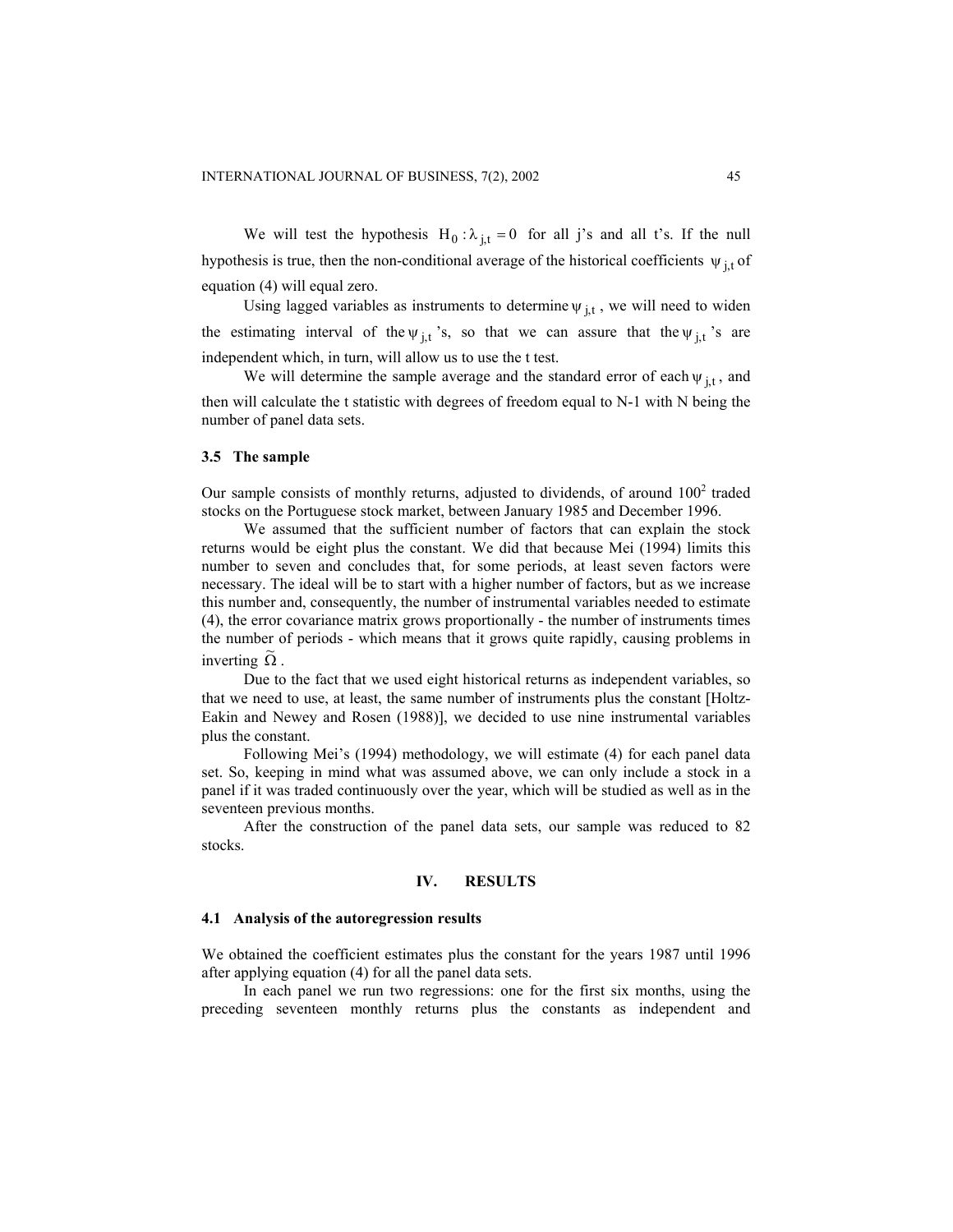We will test the hypothesis  $H_0: \lambda_{j,t} = 0$  for all j's and all t's. If the null hypothesis is true, then the non-conditional average of the historical coefficients  $\psi_{j,t}$  of equation (4) will equal zero.

Using lagged variables as instruments to determine  $\psi_{j,t}$ , we will need to widen the estimating interval of the  $\psi_{j,t}$ 's, so that we can assure that the  $\psi_{j,t}$ 's are independent which, in turn, will allow us to use the t test.

We will determine the sample average and the standard error of each  $\psi_{i,t}$ , and then will calculate the t statistic with degrees of freedom equal to N-1 with N being the number of panel data sets.

#### **3.5 The sample**

Our sample consists of monthly returns, adjusted to dividends, of around  $100<sup>2</sup>$  traded stocks on the Portuguese stock market, between January 1985 and December 1996.

We assumed that the sufficient number of factors that can explain the stock returns would be eight plus the constant. We did that because Mei (1994) limits this number to seven and concludes that, for some periods, at least seven factors were necessary. The ideal will be to start with a higher number of factors, but as we increase this number and, consequently, the number of instrumental variables needed to estimate (4), the error covariance matrix grows proportionally - the number of instruments times the number of periods - which means that it grows quite rapidly, causing problems in  $\overline{\Omega}$  .

Due to the fact that we used eight historical returns as independent variables, so that we need to use, at least, the same number of instruments plus the constant [Holtz-Eakin and Newey and Rosen (1988)], we decided to use nine instrumental variables plus the constant.

Following Mei's (1994) methodology, we will estimate (4) for each panel data set. So, keeping in mind what was assumed above, we can only include a stock in a panel if it was traded continuously over the year, which will be studied as well as in the seventeen previous months.

After the construction of the panel data sets, our sample was reduced to 82 stocks.

## **IV. RESULTS**

#### **4.1 Analysis of the autoregression results**

We obtained the coefficient estimates plus the constant for the years 1987 until 1996 after applying equation (4) for all the panel data sets.

In each panel we run two regressions: one for the first six months, using the preceding seventeen monthly returns plus the constants as independent and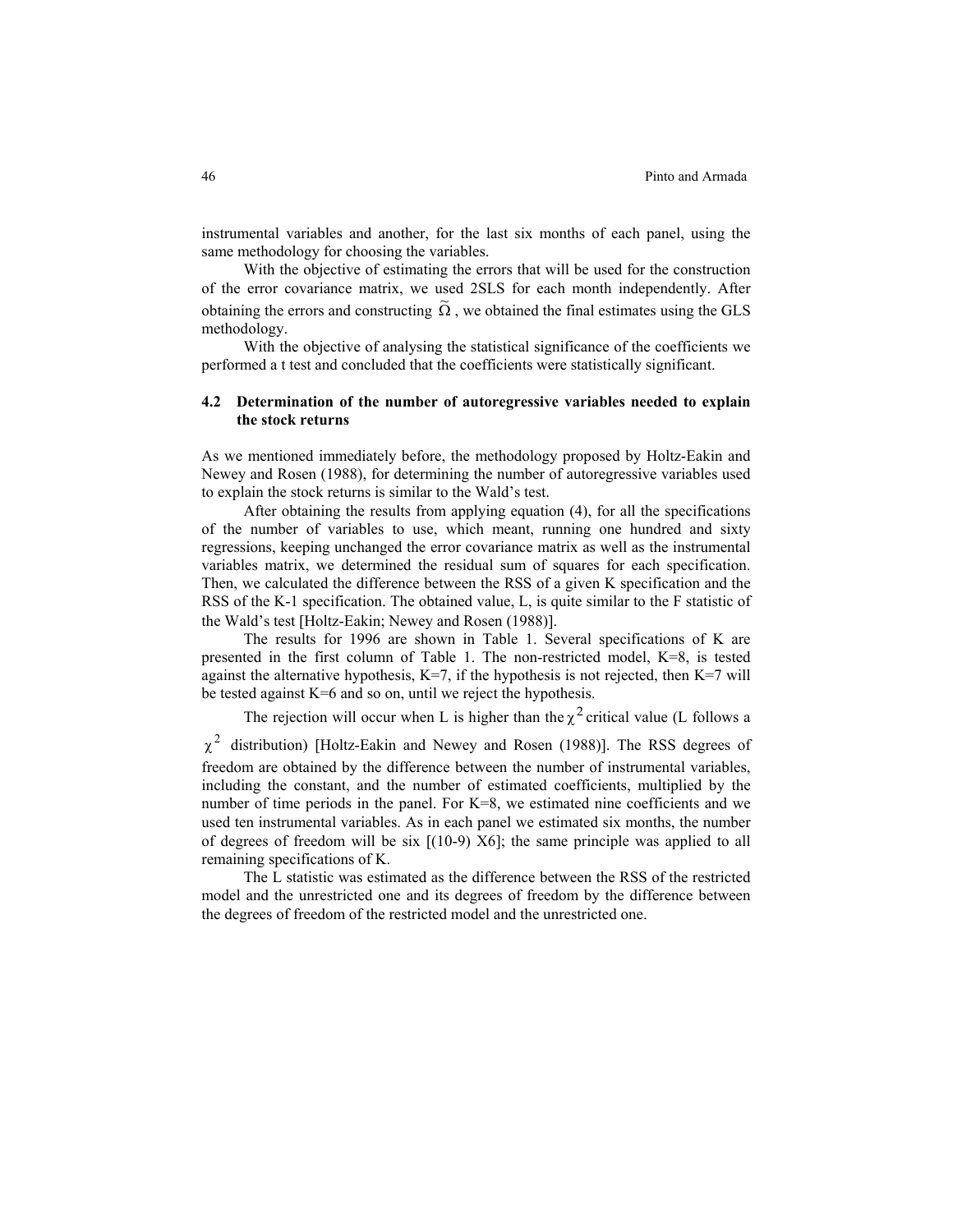instrumental variables and another, for the last six months of each panel, using the same methodology for choosing the variables.

With the objective of estimating the errors that will be used for the construction of the error covariance matrix, we used 2SLS for each month independently. After obtaining the errors and constructing  $\tilde{\Omega}$ , we obtained the final estimates using the GLS methodology.

With the objective of analysing the statistical significance of the coefficients we performed a t test and concluded that the coefficients were statistically significant.

# **4.2 Determination of the number of autoregressive variables needed to explain the stock returns**

As we mentioned immediately before, the methodology proposed by Holtz-Eakin and Newey and Rosen (1988), for determining the number of autoregressive variables used to explain the stock returns is similar to the Wald's test.

After obtaining the results from applying equation (4), for all the specifications of the number of variables to use, which meant, running one hundred and sixty regressions, keeping unchanged the error covariance matrix as well as the instrumental variables matrix, we determined the residual sum of squares for each specification. Then, we calculated the difference between the RSS of a given K specification and the RSS of the K-1 specification. The obtained value, L, is quite similar to the F statistic of the Wald's test [Holtz-Eakin; Newey and Rosen (1988)].

The results for 1996 are shown in Table 1. Several specifications of K are presented in the first column of Table 1. The non-restricted model, K=8, is tested against the alternative hypothesis,  $K=7$ , if the hypothesis is not rejected, then  $K=7$  will be tested against K=6 and so on, until we reject the hypothesis.

The rejection will occur when L is higher than the  $\chi^2$  critical value (L follows a

 $\chi^2$  distribution) [Holtz-Eakin and Newey and Rosen (1988)]. The RSS degrees of freedom are obtained by the difference between the number of instrumental variables, including the constant, and the number of estimated coefficients, multiplied by the number of time periods in the panel. For K=8, we estimated nine coefficients and we used ten instrumental variables. As in each panel we estimated six months, the number of degrees of freedom will be six  $[(10-9) X6]$ ; the same principle was applied to all remaining specifications of K.

The L statistic was estimated as the difference between the RSS of the restricted model and the unrestricted one and its degrees of freedom by the difference between the degrees of freedom of the restricted model and the unrestricted one.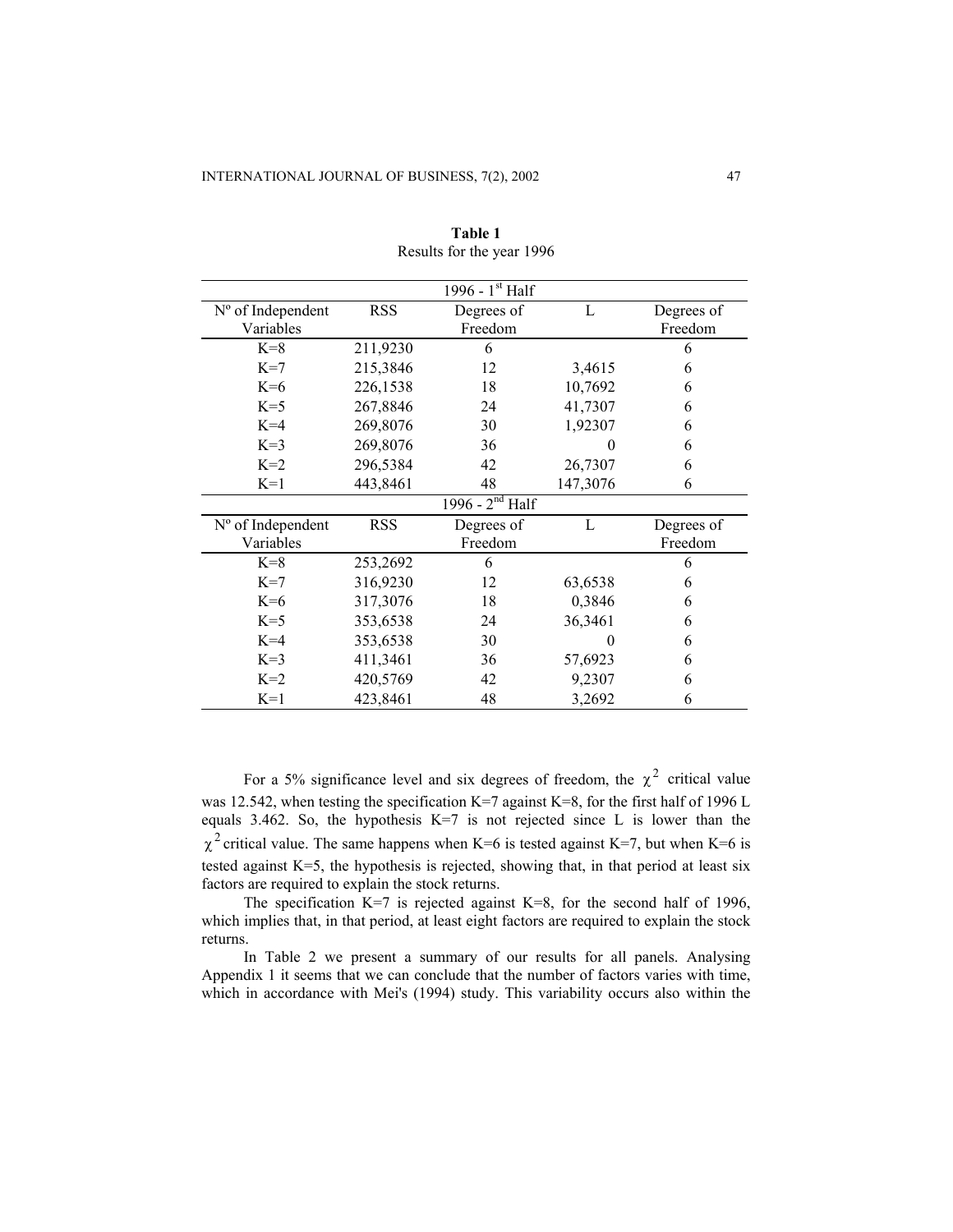|                     |            | 1996 - $1^{st}$ Half        |              |            |  |
|---------------------|------------|-----------------------------|--------------|------------|--|
| $No$ of Independent | <b>RSS</b> | Degrees of                  | L            | Degrees of |  |
| Variables           |            | Freedom                     |              | Freedom    |  |
| $K=8$               | 211,9230   | 6                           |              | 6          |  |
| $K=7$               | 215,3846   | 12                          | 3,4615       | 6          |  |
| $K=6$               | 226,1538   | 18                          | 10,7692      | 6          |  |
| $K=5$               | 267,8846   | 24                          | 41,7307      | 6          |  |
| $K=4$               | 269,8076   | 30                          | 1,92307      | 6          |  |
| $K=3$               | 269,8076   | 36                          | $\mathbf{0}$ | 6          |  |
| $K=2$               | 296,5384   | 42                          | 26,7307      | 6          |  |
| $K=1$               | 443,8461   | 48                          | 147,3076     | 6          |  |
|                     |            | 1996 - 2 <sup>nd</sup> Half |              |            |  |
| $No$ of Independent | <b>RSS</b> | Degrees of                  | $\mathbf{L}$ | Degrees of |  |
| Variables           |            | Freedom                     |              | Freedom    |  |
| $K=8$               | 253,2692   | 6                           |              | 6          |  |
| $K=7$               | 316,9230   | 12                          | 63,6538      | 6          |  |
| $K=6$               | 317,3076   | 18                          | 0,3846       | 6          |  |
| $K=5$               | 353,6538   | 24                          | 36,3461      | 6          |  |
| $K=4$               | 353,6538   | 30                          | 0            | 6          |  |
| $K=3$               | 411,3461   | 36                          | 57,6923      | 6          |  |
| $K=2$               | 420,5769   | 42                          | 9,2307       | 6          |  |
| $K=1$               | 423,8461   | 48                          | 3,2692       | 6          |  |

**Table 1** Results for the year 1996

For a 5% significance level and six degrees of freedom, the  $\chi^2$  critical value was 12.542, when testing the specification K=7 against K=8, for the first half of 1996 L equals  $3.462$ . So, the hypothesis K=7 is not rejected since L is lower than the  $\chi^2$  critical value. The same happens when K=6 is tested against K=7, but when K=6 is tested against K=5, the hypothesis is rejected, showing that, in that period at least six factors are required to explain the stock returns.

The specification K=7 is rejected against K=8, for the second half of 1996, which implies that, in that period, at least eight factors are required to explain the stock returns.

In Table 2 we present a summary of our results for all panels. Analysing Appendix 1 it seems that we can conclude that the number of factors varies with time, which in accordance with Mei's (1994) study. This variability occurs also within the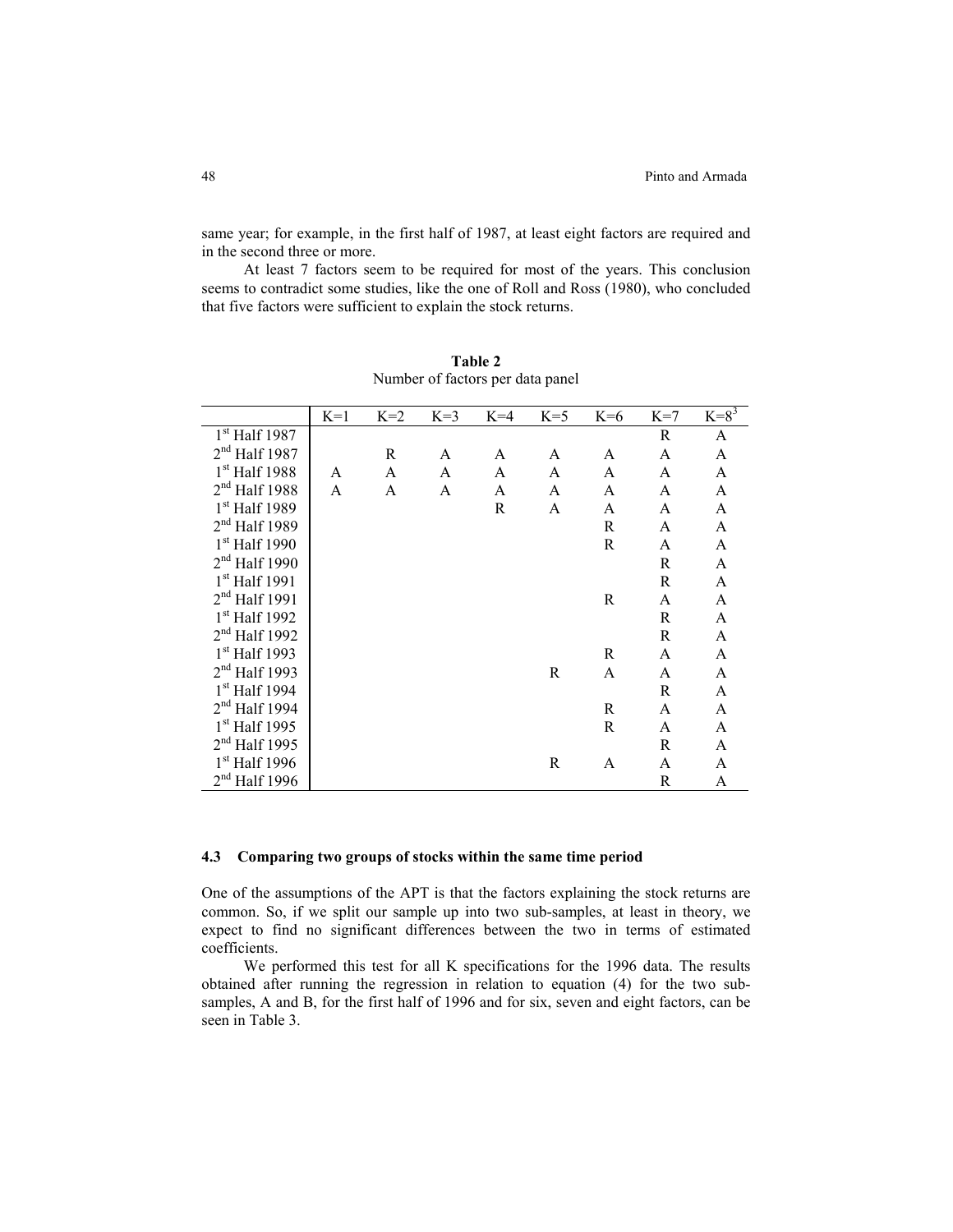same year; for example, in the first half of 1987, at least eight factors are required and in the second three or more.

At least 7 factors seem to be required for most of the years. This conclusion seems to contradict some studies, like the one of Roll and Ross (1980), who concluded that five factors were sufficient to explain the stock returns.

|                           | $K=1$ | $K=2$ | $K=3$ | $K=4$ | $K=5$ | $K=6$ | $K=7$ | $K = 8^3$    |
|---------------------------|-------|-------|-------|-------|-------|-------|-------|--------------|
| 1 <sup>st</sup> Half 1987 |       |       |       |       |       |       | R     | A            |
| $2nd$ Half 1987           |       | R     | A     | A     | A     | A     | A     | A            |
| 1 <sup>st</sup> Half 1988 | A     | A     | A     | A     | A     | A     | A     | A            |
| $2nd$ Half 1988           | A     | A     | A     | A     | A     | A     | A     | A            |
| $1st$ Half 1989           |       |       |       | R     | A     | A     | A     | A            |
| $2nd$ Half 1989           |       |       |       |       |       | R     | A     | A            |
| $1st$ Half 1990           |       |       |       |       |       | R     | A     | $\mathbf{A}$ |
| $2nd$ Half 1990           |       |       |       |       |       |       | R     | A            |
| $1st$ Half 1991           |       |       |       |       |       |       | R     | A            |
| $2nd$ Half 1991           |       |       |       |       |       | R     | A     | A            |
| 1 <sup>st</sup> Half 1992 |       |       |       |       |       |       | R     | A            |
| 2 <sup>nd</sup> Half 1992 |       |       |       |       |       |       | R     | A            |
| 1 <sup>st</sup> Half 1993 |       |       |       |       |       | R     | A     | A            |
| $2nd$ Half 1993           |       |       |       |       | R     | A     | A     | A            |
| $1st$ Half 1994           |       |       |       |       |       |       | R     | A            |
| $2nd$ Half 1994           |       |       |       |       |       | R     | A     | A            |
| $1st$ Half 1995           |       |       |       |       |       | R     | A     | A            |
| $2nd$ Half 1995           |       |       |       |       |       |       | R     | A            |
| $1st$ Half 1996           |       |       |       |       | R     | A     | A     | A            |
| $2nd$ Half 1996           |       |       |       |       |       |       | R     | A            |

**Table 2**  Number of factors per data panel

# **4.3 Comparing two groups of stocks within the same time period**

One of the assumptions of the APT is that the factors explaining the stock returns are common. So, if we split our sample up into two sub-samples, at least in theory, we expect to find no significant differences between the two in terms of estimated coefficients.

We performed this test for all K specifications for the 1996 data. The results obtained after running the regression in relation to equation (4) for the two subsamples, A and B, for the first half of 1996 and for six, seven and eight factors, can be seen in Table 3.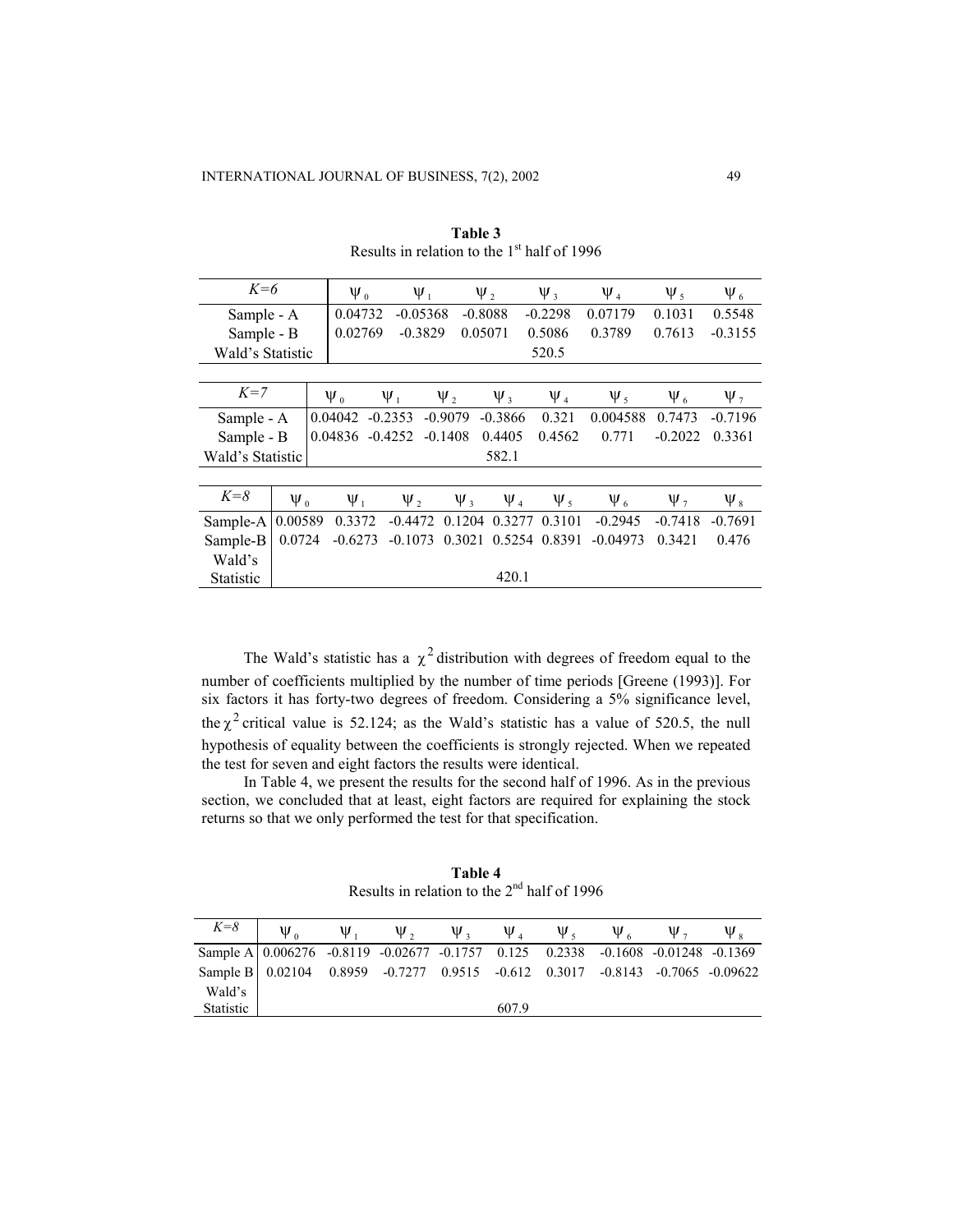| $K=6$            |            | $\Psi_0$ |                      | $\Psi_1$  |            | $\Psi_2$            | $\Psi$ <sub>3</sub> | $\Psi_4$   | $\Psi_5$   | $\Psi_6$            |            |
|------------------|------------|----------|----------------------|-----------|------------|---------------------|---------------------|------------|------------|---------------------|------------|
| Sample - A       |            |          | 0.04732              |           | $-0.05368$ |                     | $-0.8088$           | $-0.2298$  | 0.07179    | 0.1031              | 0.5548     |
| Sample - B       |            | 0.02769  |                      | $-0.3829$ |            | 0.05071             | 0.5086              | 0.3789     | 0.7613     | $-0.3155$           |            |
| Wald's Statistic |            |          |                      | 520.5     |            |                     |                     |            |            |                     |            |
|                  |            |          |                      |           |            |                     |                     |            |            |                     |            |
| $K=7$            |            |          | $\Psi_0$<br>$\Psi_1$ |           |            | $\Psi_2$            | $\Psi_{3}$          | $\Psi_4$   | $\Psi_5$   | $\Psi_6$            | $\Psi_{7}$ |
| Sample - A       |            |          | 0.04042              | $-0.2353$ |            | $-0.9079$           | $-0.3866$           | 0.321      | 0.004588   | 0.7473              | $-0.7196$  |
| Sample - B       |            |          | 0.04836              | $-0.4252$ |            | $-0.1408$           | 0.4405              | 0.4562     | 0.771      | $-0.2022$           | 0.3361     |
| Wald's Statistic |            |          |                      |           |            |                     | 582.1               |            |            |                     |            |
|                  |            |          |                      |           |            |                     |                     |            |            |                     |            |
| $K = 8$          | $\Psi_{0}$ |          | $\Psi_1$             |           | $\Psi_2$   | $\Psi$ <sub>3</sub> | $\Psi_4$            | $\Psi_{5}$ | $\Psi_6$   | $\Psi$ <sub>7</sub> | $\Psi_{8}$ |
| Sample-A         | 0.00589    |          | 0.3372               |           | $-0.4472$  | 0.1204              | 0.3277              | 0.3101     | $-0.2945$  | $-0.7418$           | $-0.7691$  |
| Sample-B         | 0.0724     |          | $-0.6273$            |           | $-0.1073$  | 0.3021              | 0.5254              | 0.8391     | $-0.04973$ | 0.3421              | 0.476      |
| Wald's           |            |          |                      |           |            |                     |                     |            |            |                     |            |
| <b>Statistic</b> |            |          |                      |           |            |                     | 420.1               |            |            |                     |            |

**Table 3** Results in relation to the  $1<sup>st</sup>$  half of 1996

The Wald's statistic has a  $\chi^2$  distribution with degrees of freedom equal to the number of coefficients multiplied by the number of time periods [Greene (1993)]. For six factors it has forty-two degrees of freedom. Considering a 5% significance level, the  $\chi^2$  critical value is 52.124; as the Wald's statistic has a value of 520.5, the null hypothesis of equality between the coefficients is strongly rejected. When we repeated the test for seven and eight factors the results were identical.

In Table 4, we present the results for the second half of 1996. As in the previous section, we concluded that at least, eight factors are required for explaining the stock returns so that we only performed the test for that specification.

**Table 4** Results in relation to the  $2<sup>nd</sup>$  half of 1996

| $K = 8$                                                                            | $\Psi_{\alpha}$ | $\Psi_{\perp}$ | $\Psi$ , | $\Psi_3$ |       | $\Psi_4$ $\Psi_5$ | $\Psi_{6}$ | $\Psi$ . | $\Psi_{\circ}$ |
|------------------------------------------------------------------------------------|-----------------|----------------|----------|----------|-------|-------------------|------------|----------|----------------|
| Sample A   0.006276 -0.8119 -0.02677 -0.1757 0.125 0.2338 -0.1608 -0.01248 -0.1369 |                 |                |          |          |       |                   |            |          |                |
| Sample B   0.02104 0.8959 -0.7277 0.9515 -0.612 0.3017 -0.8143 -0.7065 -0.09622    |                 |                |          |          |       |                   |            |          |                |
| Wald's                                                                             |                 |                |          |          |       |                   |            |          |                |
| Statistic                                                                          |                 |                |          |          | 607.9 |                   |            |          |                |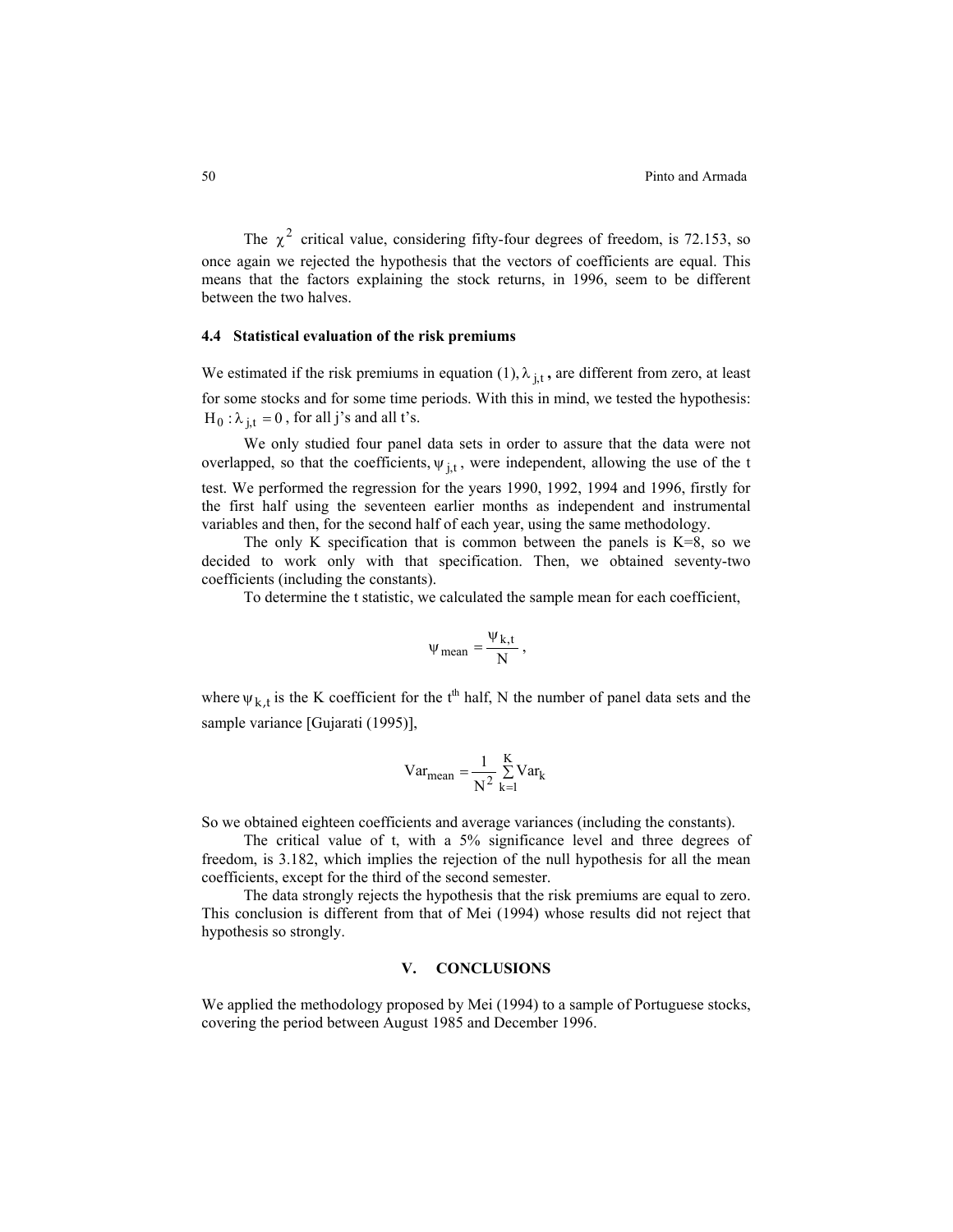The  $\chi^2$  critical value, considering fifty-four degrees of freedom, is 72.153, so once again we rejected the hypothesis that the vectors of coefficients are equal. This means that the factors explaining the stock returns, in 1996, seem to be different between the two halves.

### **4.4 Statistical evaluation of the risk premiums**

We estimated if the risk premiums in equation  $(1)$ ,  $\lambda_{j,t}$ , are different from zero, at least for some stocks and for some time periods. With this in mind, we tested the hypothesis:  $H_0: \lambda_{j,t} = 0$ , for all j's and all t's.

We only studied four panel data sets in order to assure that the data were not overlapped, so that the coefficients,  $\psi_{j,t}$ , were independent, allowing the use of the t test. We performed the regression for the years 1990, 1992, 1994 and 1996, firstly for the first half using the seventeen earlier months as independent and instrumental variables and then, for the second half of each year, using the same methodology.

The only K specification that is common between the panels is  $K=8$ , so we decided to work only with that specification. Then, we obtained seventy-two coefficients (including the constants).

To determine the t statistic, we calculated the sample mean for each coefficient,

$$
\psi_{mean} = \frac{\psi_{k,t}}{N},
$$

where  $\psi_{k,t}$  is the K coefficient for the t<sup>th</sup> half, N the number of panel data sets and the sample variance [Gujarati (1995)],

$$
Var_{mean} = \frac{1}{N^2} \sum_{k=1}^{K} Var_k
$$

So we obtained eighteen coefficients and average variances (including the constants).

The critical value of t, with a 5% significance level and three degrees of freedom, is 3.182, which implies the rejection of the null hypothesis for all the mean coefficients, except for the third of the second semester.

The data strongly rejects the hypothesis that the risk premiums are equal to zero. This conclusion is different from that of Mei (1994) whose results did not reject that hypothesis so strongly.

## **V. CONCLUSIONS**

We applied the methodology proposed by Mei (1994) to a sample of Portuguese stocks, covering the period between August 1985 and December 1996.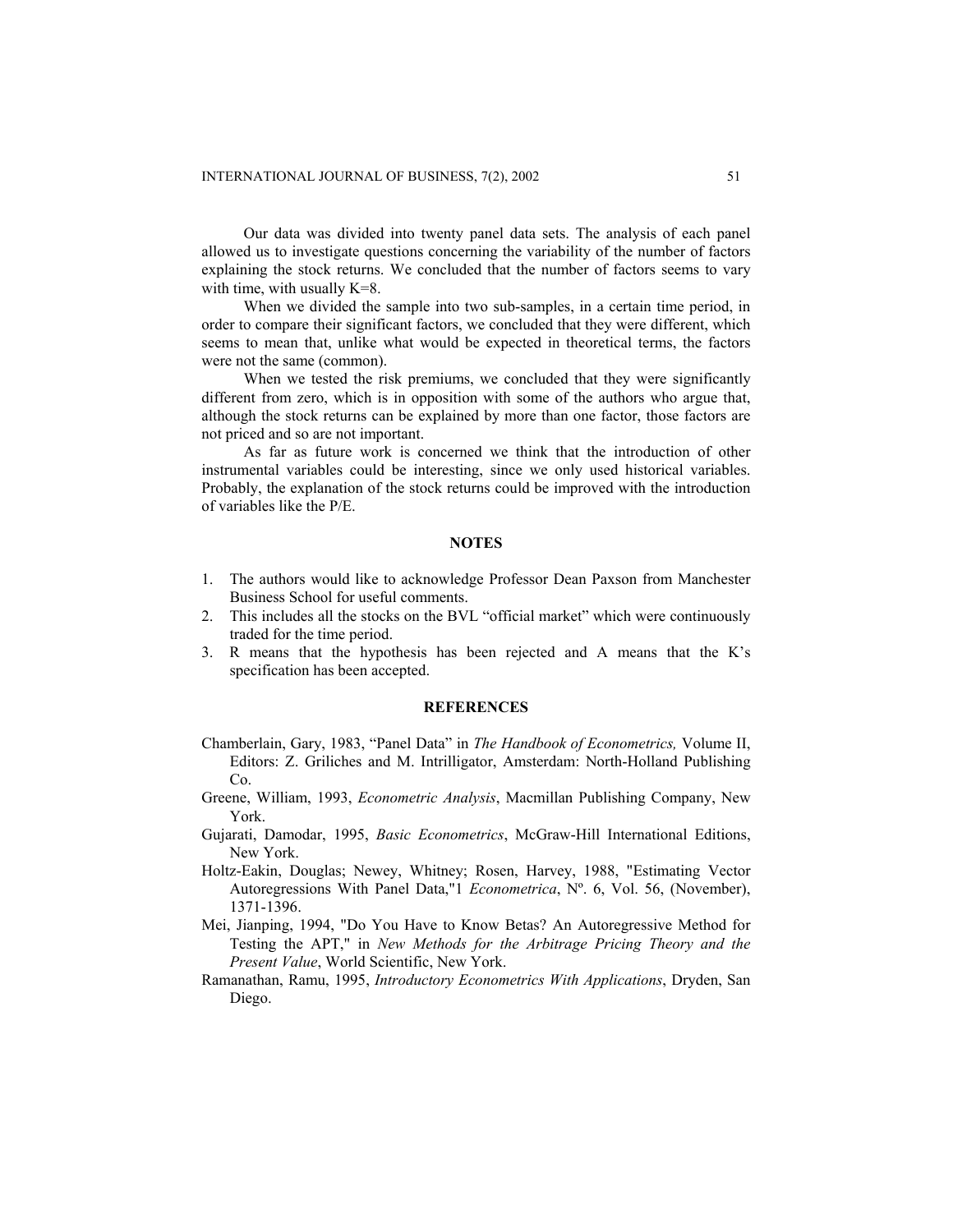Our data was divided into twenty panel data sets. The analysis of each panel allowed us to investigate questions concerning the variability of the number of factors explaining the stock returns. We concluded that the number of factors seems to vary with time, with usually K=8.

When we divided the sample into two sub-samples, in a certain time period, in order to compare their significant factors, we concluded that they were different, which seems to mean that, unlike what would be expected in theoretical terms, the factors were not the same (common).

When we tested the risk premiums, we concluded that they were significantly different from zero, which is in opposition with some of the authors who argue that, although the stock returns can be explained by more than one factor, those factors are not priced and so are not important.

As far as future work is concerned we think that the introduction of other instrumental variables could be interesting, since we only used historical variables. Probably, the explanation of the stock returns could be improved with the introduction of variables like the P/E.

#### **NOTES**

- 1. The authors would like to acknowledge Professor Dean Paxson from Manchester Business School for useful comments.
- 2. This includes all the stocks on the BVL "official market" which were continuously traded for the time period.
- 3. R means that the hypothesis has been rejected and A means that the K's specification has been accepted.

#### **REFERENCES**

- Chamberlain, Gary, 1983, "Panel Data" in *The Handbook of Econometrics,* Volume II, Editors: Z. Griliches and M. Intrilligator, Amsterdam: North-Holland Publishing Co.
- Greene, William, 1993, *Econometric Analysis*, Macmillan Publishing Company, New York.
- Gujarati, Damodar, 1995, *Basic Econometrics*, McGraw-Hill International Editions, New York.
- Holtz-Eakin, Douglas; Newey, Whitney; Rosen, Harvey, 1988, "Estimating Vector Autoregressions With Panel Data,"1 *Econometrica*, Nº. 6, Vol. 56, (November), 1371-1396.
- Mei, Jianping, 1994, "Do You Have to Know Betas? An Autoregressive Method for Testing the APT," in *New Methods for the Arbitrage Pricing Theory and the Present Value*, World Scientific, New York.
- Ramanathan, Ramu, 1995, *Introductory Econometrics With Applications*, Dryden, San Diego.